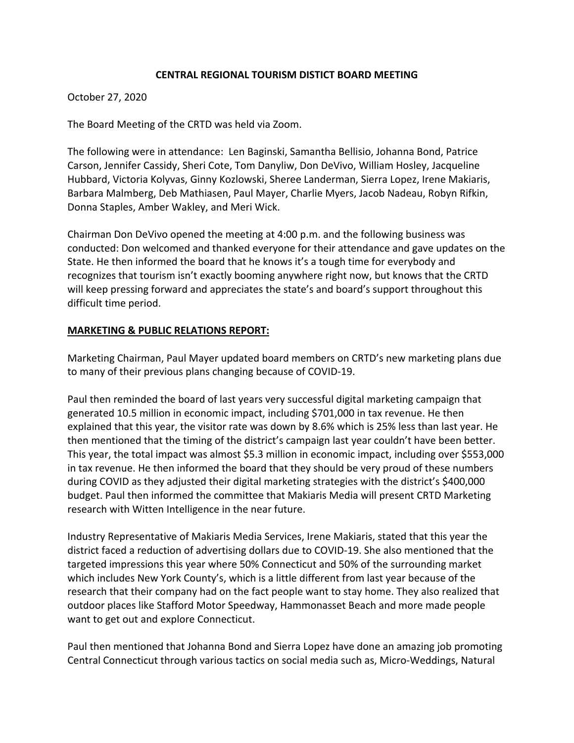### **CENTRAL REGIONAL TOURISM DISTICT BOARD MEETING**

#### October 27, 2020

The Board Meeting of the CRTD was held via Zoom.

The following were in attendance: Len Baginski, Samantha Bellisio, Johanna Bond, Patrice Carson, Jennifer Cassidy, Sheri Cote, Tom Danyliw, Don DeVivo, William Hosley, Jacqueline Hubbard, Victoria Kolyvas, Ginny Kozlowski, Sheree Landerman, Sierra Lopez, Irene Makiaris, Barbara Malmberg, Deb Mathiasen, Paul Mayer, Charlie Myers, Jacob Nadeau, Robyn Rifkin, Donna Staples, Amber Wakley, and Meri Wick.

Chairman Don DeVivo opened the meeting at 4:00 p.m. and the following business was conducted: Don welcomed and thanked everyone for their attendance and gave updates on the State. He then informed the board that he knows it's a tough time for everybody and recognizes that tourism isn't exactly booming anywhere right now, but knows that the CRTD will keep pressing forward and appreciates the state's and board's support throughout this difficult time period.

#### **MARKETING & PUBLIC RELATIONS REPORT:**

Marketing Chairman, Paul Mayer updated board members on CRTD's new marketing plans due to many of their previous plans changing because of COVID‐19.

Paul then reminded the board of last years very successful digital marketing campaign that generated 10.5 million in economic impact, including \$701,000 in tax revenue. He then explained that this year, the visitor rate was down by 8.6% which is 25% less than last year. He then mentioned that the timing of the district's campaign last year couldn't have been better. This year, the total impact was almost \$5.3 million in economic impact, including over \$553,000 in tax revenue. He then informed the board that they should be very proud of these numbers during COVID as they adjusted their digital marketing strategies with the district's \$400,000 budget. Paul then informed the committee that Makiaris Media will present CRTD Marketing research with Witten Intelligence in the near future.

Industry Representative of Makiaris Media Services, Irene Makiaris, stated that this year the district faced a reduction of advertising dollars due to COVID‐19. She also mentioned that the targeted impressions this year where 50% Connecticut and 50% of the surrounding market which includes New York County's, which is a little different from last year because of the research that their company had on the fact people want to stay home. They also realized that outdoor places like Stafford Motor Speedway, Hammonasset Beach and more made people want to get out and explore Connecticut.

Paul then mentioned that Johanna Bond and Sierra Lopez have done an amazing job promoting Central Connecticut through various tactics on social media such as, Micro‐Weddings, Natural